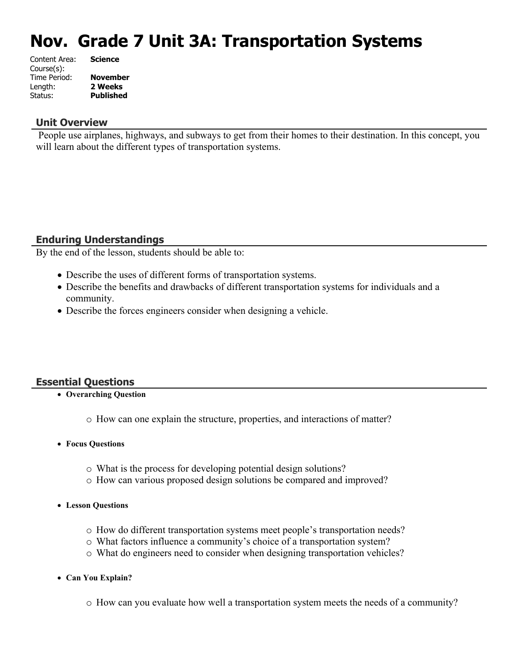# **Nov. Grade 7 Unit 3A: Transportation Systems**

| <b>Science</b>   |
|------------------|
|                  |
| <b>November</b>  |
| 2 Weeks          |
| <b>Published</b> |
|                  |

#### **Unit Overview**

 People use airplanes, highways, and subways to get from their homes to their destination. In this concept, you will learn about the different types of transportation systems.

#### **Enduring Understandings**

By the end of the lesson, students should be able to:

- Describe the uses of different forms of transportation systems.
- Describe the benefits and drawbacks of different transportation systems for individuals and a community.
- Describe the forces engineers consider when designing a vehicle.

#### **Essential Questions**

- **Overarching Question**
	- o How can one explain the structure, properties, and interactions of matter?
- **Focus Questions**
	- o What is the process for developing potential design solutions?
	- o How can various proposed design solutions be compared and improved?
- **Lesson Questions**
	- o How do different transportation systems meet people's transportation needs?
	- o What factors influence a community's choice of a transportation system?
	- o What do engineers need to consider when designing transportation vehicles?
- **Can You Explain?**
	- o How can you evaluate how well a transportation system meets the needs of a community?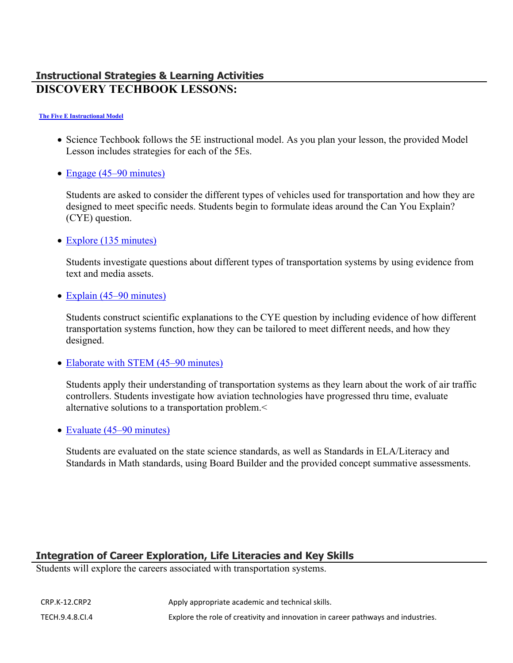### **Instructional Strategies & Learning Activities DISCOVERY TECHBOOK LESSONS:**

#### **[The Five E Instructional Model](https://app.discoveryeducation.com/learn/techbook/units/ef13dde2-f342-45b7-886b-d973d281ac54/concepts/6600d1c8-e091-4631-b2b4-46d01bde217a/lesson/sections/439267bf-3fcc-4552-b8f4-32a3bdfcf200#627580f6-5dbb-4679-971f-cebebb756ea9)**

- Science Techbook follows the 5E instructional model. As you plan your lesson, the provided Model Lesson includes strategies for each of the 5Es.
- [Engage \(45–90 minutes\)](https://app.discoveryeducation.com/learn/techbook/units/ef13dde2-f342-45b7-886b-d973d281ac54/concepts/6600d1c8-e091-4631-b2b4-46d01bde217a/lesson/sections/439267bf-3fcc-4552-b8f4-32a3bdfcf200#54822b38-f9bf-4399-a905-5905c4eddaaa)

Students are asked to consider the different types of vehicles used for transportation and how they are designed to meet specific needs. Students begin to formulate ideas around the Can You Explain? (CYE) question.

• [Explore \(135 minutes\)](https://app.discoveryeducation.com/learn/techbook/units/ef13dde2-f342-45b7-886b-d973d281ac54/concepts/6600d1c8-e091-4631-b2b4-46d01bde217a/lesson/sections/439267bf-3fcc-4552-b8f4-32a3bdfcf200#f57db54b-c63e-4be2-b969-c11adee1eb2e)

Students investigate questions about different types of transportation systems by using evidence from text and media assets.

• [Explain \(45–90 minutes\)](https://app.discoveryeducation.com/learn/techbook/units/ef13dde2-f342-45b7-886b-d973d281ac54/concepts/6600d1c8-e091-4631-b2b4-46d01bde217a/lesson/sections/439267bf-3fcc-4552-b8f4-32a3bdfcf200#46e3a4ea-7f30-4463-b14e-8d38764f484f)

Students construct scientific explanations to the CYE question by including evidence of how different transportation systems function, how they can be tailored to meet different needs, and how they designed.

• [Elaborate with STEM \(45–90 minutes\)](https://app.discoveryeducation.com/learn/techbook/units/ef13dde2-f342-45b7-886b-d973d281ac54/concepts/6600d1c8-e091-4631-b2b4-46d01bde217a/lesson/sections/439267bf-3fcc-4552-b8f4-32a3bdfcf200#01e98181-a765-4e43-a081-7560b4f43e95)

Students apply their understanding of transportation systems as they learn about the work of air traffic controllers. Students investigate how aviation technologies have progressed thru time, evaluate alternative solutions to a transportation problem.<

• [Evaluate \(45–90 minutes\)](https://app.discoveryeducation.com/learn/techbook/units/ef13dde2-f342-45b7-886b-d973d281ac54/concepts/6600d1c8-e091-4631-b2b4-46d01bde217a/lesson/sections/439267bf-3fcc-4552-b8f4-32a3bdfcf200#f1ba7e06-7a95-4d1a-9929-747ab36fa91f)

Students are evaluated on the state science standards, as well as Standards in ELA/Literacy and Standards in Math standards, using Board Builder and the provided concept summative assessments.

### **Integration of Career Exploration, Life Literacies and Key Skills**

Students will explore the careers associated with transportation systems.

| CRP.K-12.CRP2   | Apply appropriate academic and technical skills.                                 |  |
|-----------------|----------------------------------------------------------------------------------|--|
| TECH.9.4.8.CI.4 | Explore the role of creativity and innovation in career pathways and industries. |  |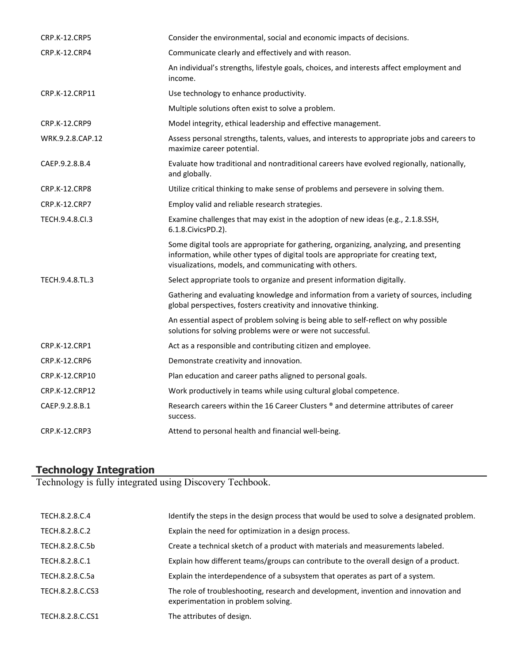| CRP.K-12.CRP5        | Consider the environmental, social and economic impacts of decisions.                                                                                                                                                                   |
|----------------------|-----------------------------------------------------------------------------------------------------------------------------------------------------------------------------------------------------------------------------------------|
| CRP.K-12.CRP4        | Communicate clearly and effectively and with reason.                                                                                                                                                                                    |
|                      | An individual's strengths, lifestyle goals, choices, and interests affect employment and<br>income.                                                                                                                                     |
| CRP.K-12.CRP11       | Use technology to enhance productivity.                                                                                                                                                                                                 |
|                      | Multiple solutions often exist to solve a problem.                                                                                                                                                                                      |
| CRP.K-12.CRP9        | Model integrity, ethical leadership and effective management.                                                                                                                                                                           |
| WRK.9.2.8.CAP.12     | Assess personal strengths, talents, values, and interests to appropriate jobs and careers to<br>maximize career potential.                                                                                                              |
| CAEP.9.2.8.B.4       | Evaluate how traditional and nontraditional careers have evolved regionally, nationally,<br>and globally.                                                                                                                               |
| CRP.K-12.CRP8        | Utilize critical thinking to make sense of problems and persevere in solving them.                                                                                                                                                      |
| <b>CRP.K-12.CRP7</b> | Employ valid and reliable research strategies.                                                                                                                                                                                          |
| TECH.9.4.8.CI.3      | Examine challenges that may exist in the adoption of new ideas (e.g., 2.1.8.SSH,<br>6.1.8. Civics PD. 2).                                                                                                                               |
|                      | Some digital tools are appropriate for gathering, organizing, analyzing, and presenting<br>information, while other types of digital tools are appropriate for creating text,<br>visualizations, models, and communicating with others. |
| TECH.9.4.8.TL.3      | Select appropriate tools to organize and present information digitally.                                                                                                                                                                 |
|                      | Gathering and evaluating knowledge and information from a variety of sources, including<br>global perspectives, fosters creativity and innovative thinking.                                                                             |
|                      | An essential aspect of problem solving is being able to self-reflect on why possible<br>solutions for solving problems were or were not successful.                                                                                     |
| <b>CRP.K-12.CRP1</b> | Act as a responsible and contributing citizen and employee.                                                                                                                                                                             |
| CRP.K-12.CRP6        | Demonstrate creativity and innovation.                                                                                                                                                                                                  |
| CRP.K-12.CRP10       | Plan education and career paths aligned to personal goals.                                                                                                                                                                              |
| CRP.K-12.CRP12       | Work productively in teams while using cultural global competence.                                                                                                                                                                      |
| CAEP.9.2.8.B.1       | Research careers within the 16 Career Clusters ® and determine attributes of career<br>success.                                                                                                                                         |
| CRP.K-12.CRP3        | Attend to personal health and financial well-being.                                                                                                                                                                                     |
|                      |                                                                                                                                                                                                                                         |

#### **Technology Integration**

Technology is fully integrated using Discovery Techbook.

| TECH.8.2.8.C.4   | Identify the steps in the design process that would be used to solve a designated problem.                                 |
|------------------|----------------------------------------------------------------------------------------------------------------------------|
| TECH.8.2.8.C.2   | Explain the need for optimization in a design process.                                                                     |
| TECH.8.2.8.C.5b  | Create a technical sketch of a product with materials and measurements labeled.                                            |
| TECH.8.2.8.C.1   | Explain how different teams/groups can contribute to the overall design of a product.                                      |
| TECH.8.2.8.C.5a  | Explain the interdependence of a subsystem that operates as part of a system.                                              |
| TECH.8.2.8.C.CS3 | The role of troubleshooting, research and development, invention and innovation and<br>experimentation in problem solving. |
| TECH.8.2.8.C.CS1 | The attributes of design.                                                                                                  |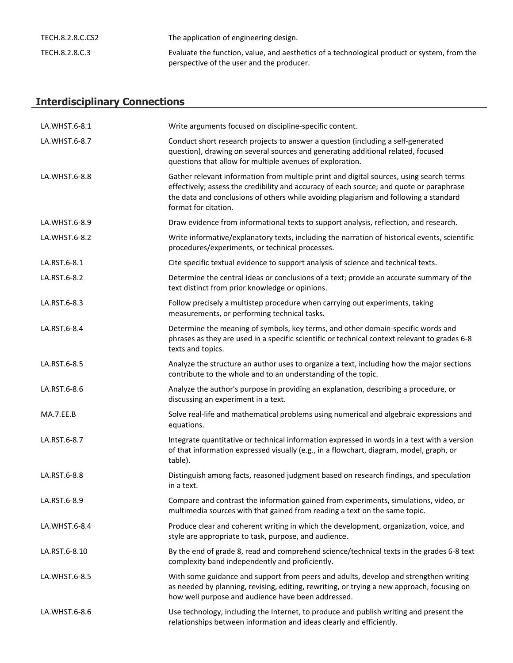| TECH.8.2.8.C.CS2 | The application of engineering design.                                                                                                   |
|------------------|------------------------------------------------------------------------------------------------------------------------------------------|
| TECH.8.2.8.C.3   | Evaluate the function, value, and aesthetics of a technological product or system, from the<br>perspective of the user and the producer. |

## **Interdisciplinary Connections**

| LA.WHST.6-8.1 | Write arguments focused on discipline-specific content.                                                                                                                                                                                                                                              |  |
|---------------|------------------------------------------------------------------------------------------------------------------------------------------------------------------------------------------------------------------------------------------------------------------------------------------------------|--|
| LA.WHST.6-8.7 | Conduct short research projects to answer a question (including a self-generated<br>question), drawing on several sources and generating additional related, focused<br>questions that allow for multiple avenues of exploration.                                                                    |  |
| LA.WHST.6-8.8 | Gather relevant information from multiple print and digital sources, using search terms<br>effectively; assess the credibility and accuracy of each source; and quote or paraphrase<br>the data and conclusions of others while avoiding plagiarism and following a standard<br>format for citation. |  |
| LA.WHST.6-8.9 | Draw evidence from informational texts to support analysis, reflection, and research.                                                                                                                                                                                                                |  |
| LA.WHST.6-8.2 | Write informative/explanatory texts, including the narration of historical events, scientific<br>procedures/experiments, or technical processes.                                                                                                                                                     |  |
| LA.RST.6-8.1  | Cite specific textual evidence to support analysis of science and technical texts.                                                                                                                                                                                                                   |  |
| LA.RST.6-8.2  | Determine the central ideas or conclusions of a text; provide an accurate summary of the<br>text distinct from prior knowledge or opinions.                                                                                                                                                          |  |
| LA.RST.6-8.3  | Follow precisely a multistep procedure when carrying out experiments, taking<br>measurements, or performing technical tasks.                                                                                                                                                                         |  |
| LA.RST.6-8.4  | Determine the meaning of symbols, key terms, and other domain-specific words and<br>phrases as they are used in a specific scientific or technical context relevant to grades 6-8<br>texts and topics.                                                                                               |  |
| LA.RST.6-8.5  | Analyze the structure an author uses to organize a text, including how the major sections<br>contribute to the whole and to an understanding of the topic.                                                                                                                                           |  |
| LA.RST.6-8.6  | Analyze the author's purpose in providing an explanation, describing a procedure, or<br>discussing an experiment in a text.                                                                                                                                                                          |  |
| MA.7.EE.B     | Solve real-life and mathematical problems using numerical and algebraic expressions and<br>equations.                                                                                                                                                                                                |  |
| LA.RST.6-8.7  | Integrate quantitative or technical information expressed in words in a text with a version<br>of that information expressed visually (e.g., in a flowchart, diagram, model, graph, or<br>table).                                                                                                    |  |
| LA.RST.6-8.8  | Distinguish among facts, reasoned judgment based on research findings, and speculation<br>in a text.                                                                                                                                                                                                 |  |
| LA.RST.6-8.9  | Compare and contrast the information gained from experiments, simulations, video, or<br>multimedia sources with that gained from reading a text on the same topic.                                                                                                                                   |  |
| LA.WHST.6-8.4 | Produce clear and coherent writing in which the development, organization, voice, and<br>style are appropriate to task, purpose, and audience.                                                                                                                                                       |  |
| LA.RST.6-8.10 | By the end of grade 8, read and comprehend science/technical texts in the grades 6-8 text<br>complexity band independently and proficiently.                                                                                                                                                         |  |
| LA.WHST.6-8.5 | With some guidance and support from peers and adults, develop and strengthen writing<br>as needed by planning, revising, editing, rewriting, or trying a new approach, focusing on<br>how well purpose and audience have been addressed.                                                             |  |
| LA.WHST.6-8.6 | Use technology, including the Internet, to produce and publish writing and present the<br>relationships between information and ideas clearly and efficiently.                                                                                                                                       |  |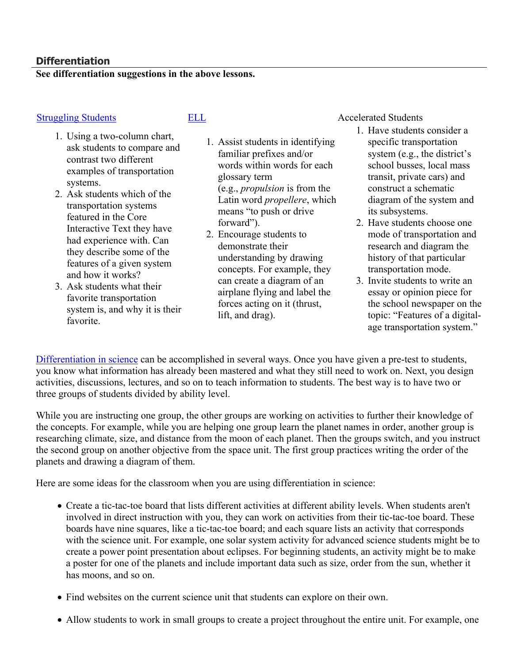#### **Differentiation**

#### **See differentiation suggestions in the above lessons.**

- 1. Using a two-column chart, ask students to compare and contrast two different examples of transportation systems.
- 2. Ask students which of the transportation systems featured in the Core Interactive Text they have had experience with. Can they describe some of the features of a given system and how it works?
- 3. Ask students what their favorite transportation system is, and why it is their favorite.

- 1. Assist students in identifying familiar prefixes and/or words within words for each glossary term (e.g., *propulsion* is from the Latin word *propellere*, which means "to push or drive forward").
- 2. Encourage students to demonstrate their understanding by drawing concepts. For example, they can create a diagram of an airplane flying and label the forces acting on it (thrust, lift, and drag).

[Struggling Students](https://app.discoveryeducation.com/player/view/assetGuid/4995767F-D634-40C6-B25B-BDEA06E14F90) [ELL](https://app.discoveryeducation.com/player/view/assetGuid/D727DF69-B79B-4A92-AA1F-CE23C74D98D9) ELL Accelerated Students

- 1. Have students consider a specific transportation system (e.g., the district's school busses, local mass transit, private cars) and construct a schematic diagram of the system and its subsystems.
- 2. Have students choose one mode of transportation and research and diagram the history of that particular transportation mode.
- 3. Invite students to write an essay or opinion piece for the school newspaper on the topic: "Features of a digitalage transportation system."

[Differentiation in science](http://www.brighthubeducation.com/teaching-gifted-students/65181-differentiation-techniques-and-activities-in-the-classroom-for-gifted-students/) can be accomplished in several ways. Once you have given a pre-test to students, you know what information has already been mastered and what they still need to work on. Next, you design activities, discussions, lectures, and so on to teach information to students. The best way is to have two or three groups of students divided by ability level.

While you are instructing one group, the other groups are working on activities to further their knowledge of the concepts. For example, while you are helping one group learn the planet names in order, another group is researching climate, size, and distance from the moon of each planet. Then the groups switch, and you instruct the second group on another objective from the space unit. The first group practices writing the order of the planets and drawing a diagram of them.

Here are some ideas for the classroom when you are using differentiation in science:

- Create a tic-tac-toe board that lists different activities at different ability levels. When students aren't involved in direct instruction with you, they can work on activities from their tic-tac-toe board. These boards have nine squares, like a tic-tac-toe board; and each square lists an activity that corresponds with the science unit. For example, one solar system activity for advanced science students might be to create a power point presentation about eclipses. For beginning students, an activity might be to make a poster for one of the planets and include important data such as size, order from the sun, whether it has moons, and so on.
- Find websites on the current science unit that students can explore on their own.
- Allow students to work in small groups to create a project throughout the entire unit. For example, one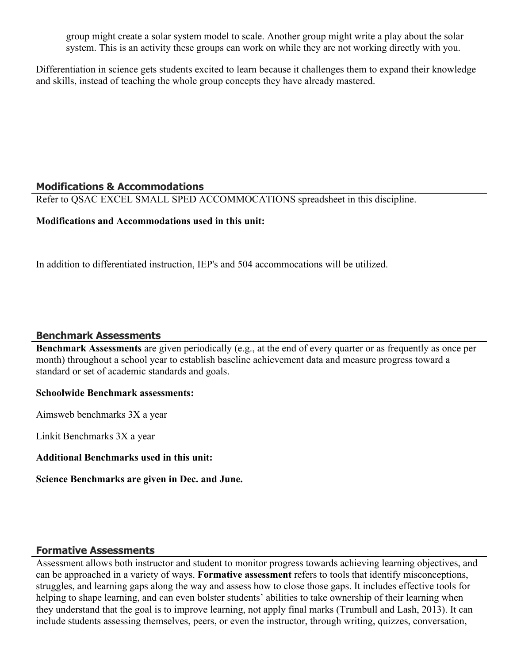group might create a solar system model to scale. Another group might write a play about the solar system. This is an activity these groups can work on while they are not working directly with you.

Differentiation in science gets students excited to learn because it challenges them to expand their knowledge and skills, instead of teaching the whole group concepts they have already mastered.

#### **Modifications & Accommodations**

Refer to QSAC EXCEL SMALL SPED ACCOMMOCATIONS spreadsheet in this discipline.

#### **Modifications and Accommodations used in this unit:**

In addition to differentiated instruction, IEP's and 504 accommocations will be utilized.

#### **Benchmark Assessments**

**Benchmark Assessments** are given periodically (e.g., at the end of every quarter or as frequently as once per month) throughout a school year to establish baseline achievement data and measure progress toward a standard or set of academic standards and goals.

#### **Schoolwide Benchmark assessments:**

Aimsweb benchmarks 3X a year

Linkit Benchmarks 3X a year

#### **Additional Benchmarks used in this unit:**

**Science Benchmarks are given in Dec. and June.** 

#### **Formative Assessments**

Assessment allows both instructor and student to monitor progress towards achieving learning objectives, and can be approached in a variety of ways. **Formative assessment** refers to tools that identify misconceptions, struggles, and learning gaps along the way and assess how to close those gaps. It includes effective tools for helping to shape learning, and can even bolster students' abilities to take ownership of their learning when they understand that the goal is to improve learning, not apply final marks (Trumbull and Lash, 2013). It can include students assessing themselves, peers, or even the instructor, through writing, quizzes, conversation,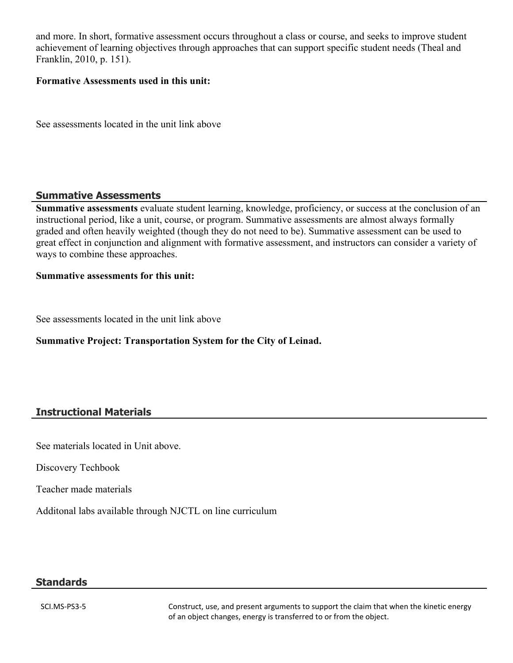and more. In short, formative assessment occurs throughout a class or course, and seeks to improve student achievement of learning objectives through approaches that can support specific student needs (Theal and Franklin, 2010, p. 151).

#### **Formative Assessments used in this unit:**

See assessments located in the unit link above

#### **Summative Assessments**

**Summative assessments** evaluate student learning, knowledge, proficiency, or success at the conclusion of an instructional period, like a unit, course, or program. Summative assessments are almost always formally graded and often heavily weighted (though they do not need to be). Summative assessment can be used to great effect in conjunction and alignment with formative assessment, and instructors can consider a variety of ways to combine these approaches.

#### **Summative assessments for this unit:**

See assessments located in the unit link above

#### **Summative Project: Transportation System for the City of Leinad.**

#### **Instructional Materials**

See materials located in Unit above.

Discovery Techbook

Teacher made materials

Additonal labs available through NJCTL on line curriculum

#### **Standards**

SCI.MS-PS3-5 Construct, use, and present arguments to support the claim that when the kinetic energy of an object changes, energy is transferred to or from the object.